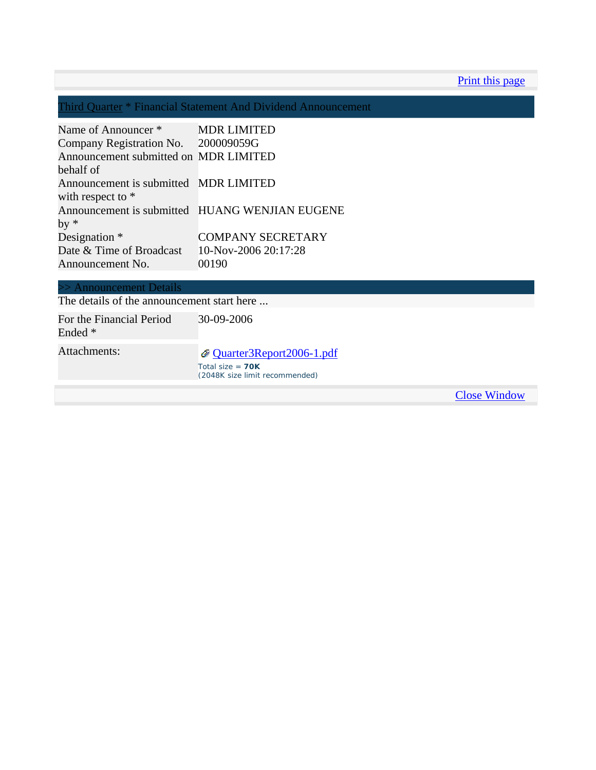Print this page

Third Quarter \* Financial Statement And Dividend Announcement

| Name of Announcer *                   | <b>MDR LIMITED</b>                             |
|---------------------------------------|------------------------------------------------|
| Company Registration No. 200009059G   |                                                |
| Announcement submitted on MDR LIMITED |                                                |
| behalf of                             |                                                |
| Announcement is submitted MDR LIMITED |                                                |
| with respect to $*$                   |                                                |
|                                       | Announcement is submitted HUANG WENJIAN EUGENE |
| $by *$                                |                                                |
| Designation *                         | <b>COMPANY SECRETARY</b>                       |
| Date & Time of Broadcast              | 10-Nov-2006 20:17:28                           |
| Announcement No.                      | 00190                                          |

| >> Announcement Details |  |
|-------------------------|--|
|                         |  |

The details of the announcement start here ... For the Financial Period Ended \* 30-09-2006

Attachments:  $Q$  Quarter3Report2006-1.pdf Total size = **70K** (2048K size limit recommended)

Close Window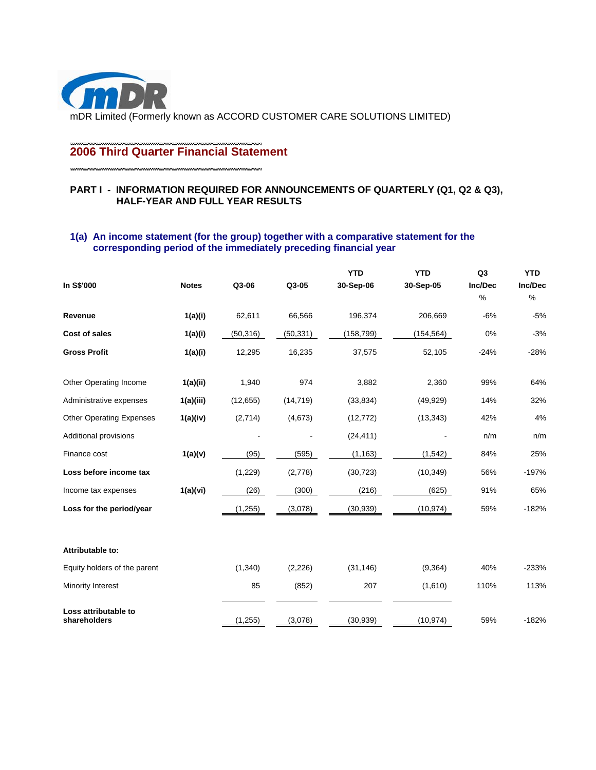

# **2006 Third Quarter Financial Statement**

## **PART I - INFORMATION REQUIRED FOR ANNOUNCEMENTS OF QUARTERLY (Q1, Q2 & Q3), HALF-YEAR AND FULL YEAR RESULTS**

## **1(a) An income statement (for the group) together with a comparative statement for the corresponding period of the immediately preceding financial year**

|                                      |              |           |           | <b>YTD</b> | <b>YTD</b> | Q <sub>3</sub> | <b>YTD</b>   |
|--------------------------------------|--------------|-----------|-----------|------------|------------|----------------|--------------|
| In S\$'000                           | <b>Notes</b> | Q3-06     | Q3-05     | 30-Sep-06  | 30-Sep-05  | Inc/Dec<br>%   | Inc/Dec<br>% |
| Revenue                              | 1(a)(i)      | 62,611    | 66,566    | 196,374    | 206,669    | $-6%$          | $-5%$        |
| Cost of sales                        | 1(a)(i)      | (50, 316) | (50, 331) | (158, 799) | (154, 564) | 0%             | $-3%$        |
| <b>Gross Profit</b>                  | 1(a)(i)      | 12,295    | 16,235    | 37,575     | 52,105     | $-24%$         | $-28%$       |
| Other Operating Income               | 1(a)(ii)     | 1,940     | 974       | 3,882      | 2,360      | 99%            | 64%          |
| Administrative expenses              | 1(a)(iii)    | (12, 655) | (14, 719) | (33, 834)  | (49, 929)  | 14%            | 32%          |
| <b>Other Operating Expenses</b>      | 1(a)(iv)     | (2,714)   | (4,673)   | (12, 772)  | (13, 343)  | 42%            | 4%           |
| Additional provisions                |              |           |           | (24, 411)  |            | n/m            | n/m          |
| Finance cost                         | 1(a)(v)      | (95)      | (595)     | (1, 163)   | (1, 542)   | 84%            | 25%          |
| Loss before income tax               |              | (1,229)   | (2,778)   | (30, 723)  | (10, 349)  | 56%            | $-197%$      |
| Income tax expenses                  | 1(a)(vi)     | (26)      | (300)     | (216)      | (625)      | 91%            | 65%          |
| Loss for the period/year             |              | (1,255)   | (3,078)   | (30, 939)  | (10, 974)  | 59%            | $-182%$      |
| Attributable to:                     |              |           |           |            |            |                |              |
| Equity holders of the parent         |              | (1, 340)  | (2, 226)  | (31, 146)  | (9, 364)   | 40%            | $-233%$      |
| Minority Interest                    |              | 85        | (852)     | 207        | (1,610)    | 110%           | 113%         |
| Loss attributable to<br>shareholders |              | (1, 255)  | (3,078)   | (30, 939)  | (10, 974)  | 59%            | $-182%$      |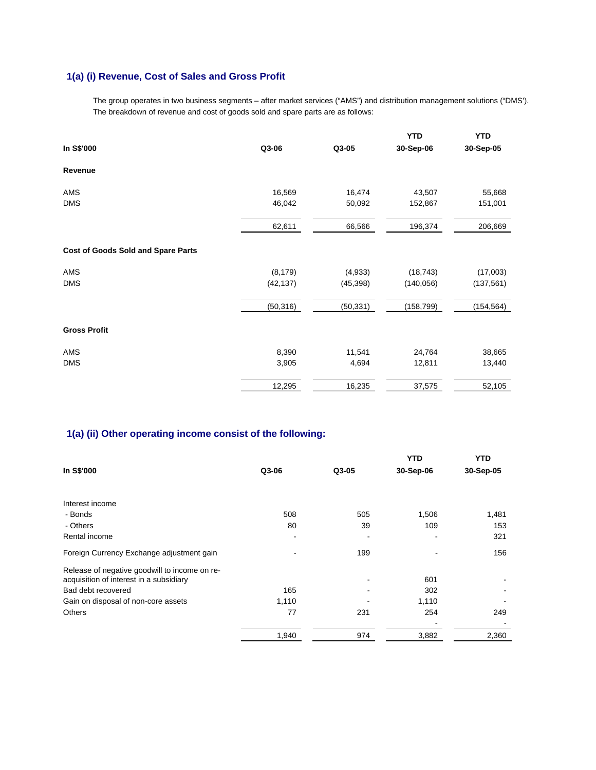# **1(a) (i) Revenue, Cost of Sales and Gross Profit**

The group operates in two business segments – after market services ("AMS") and distribution management solutions ("DMS'). The breakdown of revenue and cost of goods sold and spare parts are as follows:

|                                           |           |           | <b>YTD</b> | <b>YTD</b> |
|-------------------------------------------|-----------|-----------|------------|------------|
| In S\$'000                                | Q3-06     | Q3-05     | 30-Sep-06  | 30-Sep-05  |
| Revenue                                   |           |           |            |            |
| AMS                                       | 16,569    | 16,474    | 43,507     | 55,668     |
| <b>DMS</b>                                | 46,042    | 50,092    | 152,867    | 151,001    |
|                                           | 62,611    | 66,566    | 196,374    | 206,669    |
| <b>Cost of Goods Sold and Spare Parts</b> |           |           |            |            |
| AMS                                       | (8, 179)  | (4,933)   | (18, 743)  | (17,003)   |
| <b>DMS</b>                                | (42, 137) | (45, 398) | (140, 056) | (137, 561) |
|                                           | (50, 316) | (50, 331) | (158, 799) | (154, 564) |
| <b>Gross Profit</b>                       |           |           |            |            |
| AMS                                       | 8,390     | 11,541    | 24,764     | 38,665     |
| <b>DMS</b>                                | 3,905     | 4,694     | 12,811     | 13,440     |
|                                           | 12,295    | 16,235    | 37,575     | 52,105     |

# **1(a) (ii) Other operating income consist of the following:**

|                                               |       |       | YTD       | <b>YTD</b> |
|-----------------------------------------------|-------|-------|-----------|------------|
| In S\$'000                                    | Q3-06 | Q3-05 | 30-Sep-06 | 30-Sep-05  |
|                                               |       |       |           |            |
| Interest income                               |       |       |           |            |
| - Bonds                                       | 508   | 505   | 1,506     | 1,481      |
| - Others                                      | 80    | 39    | 109       | 153        |
| Rental income                                 |       |       |           | 321        |
| Foreign Currency Exchange adjustment gain     |       | 199   |           | 156        |
| Release of negative goodwill to income on re- |       |       |           |            |
| acquisition of interest in a subsidiary       |       |       | 601       |            |
| Bad debt recovered                            | 165   |       | 302       |            |
| Gain on disposal of non-core assets           | 1,110 |       | 1,110     |            |
| <b>Others</b>                                 | 77    | 231   | 254       | 249        |
|                                               |       |       |           |            |
|                                               | 1,940 | 974   | 3,882     | 2,360      |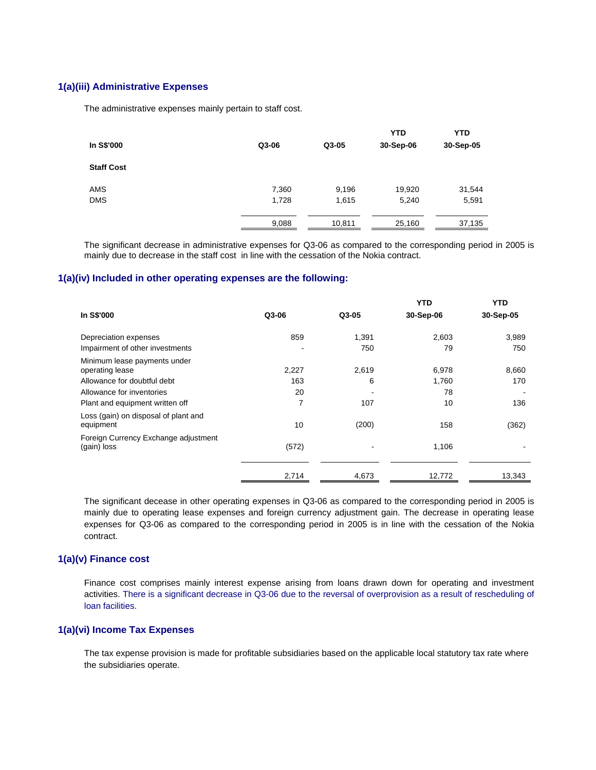#### **1(a)(iii) Administrative Expenses**

The administrative expenses mainly pertain to staff cost.

| In S\$'000        | Q3-06 | Q3-05  | <b>YTD</b><br>30-Sep-06 | <b>YTD</b><br>30-Sep-05 |
|-------------------|-------|--------|-------------------------|-------------------------|
| <b>Staff Cost</b> |       |        |                         |                         |
| <b>AMS</b>        | 7,360 | 9,196  | 19,920                  | 31,544                  |
| <b>DMS</b>        | 1,728 | 1,615  | 5,240                   | 5,591                   |
|                   | 9,088 | 10,811 | 25,160                  | 37,135                  |

 The significant decrease in administrative expenses for Q3-06 as compared to the corresponding period in 2005 is mainly due to decrease in the staff cost in line with the cessation of the Nokia contract.

#### **1(a)(iv) Included in other operating expenses are the following:**

|                                                     |                |       | <b>YTD</b> | <b>YTD</b> |
|-----------------------------------------------------|----------------|-------|------------|------------|
| In S\$'000                                          | Q3-06          | Q3-05 | 30-Sep-06  | 30-Sep-05  |
| Depreciation expenses                               | 859            | 1,391 | 2,603      | 3,989      |
| Impairment of other investments                     |                | 750   | 79         | 750        |
| Minimum lease payments under<br>operating lease     | 2,227          | 2,619 | 6,978      | 8,660      |
| Allowance for doubtful debt                         | 163            | 6     | 1,760      | 170        |
| Allowance for inventories                           | 20             |       | 78         |            |
| Plant and equipment written off                     | $\overline{7}$ | 107   | 10         | 136        |
| Loss (gain) on disposal of plant and<br>equipment   | 10             | (200) | 158        | (362)      |
| Foreign Currency Exchange adjustment<br>(gain) loss | (572)          |       | 1,106      |            |
|                                                     | 2,714          | 4,673 | 12,772     | 13,343     |

The significant decease in other operating expenses in Q3-06 as compared to the corresponding period in 2005 is mainly due to operating lease expenses and foreign currency adjustment gain. The decrease in operating lease expenses for Q3-06 as compared to the corresponding period in 2005 is in line with the cessation of the Nokia contract.

## **1(a)(v) Finance cost**

Finance cost comprises mainly interest expense arising from loans drawn down for operating and investment activities. There is a significant decrease in Q3-06 due to the reversal of overprovision as a result of rescheduling of loan facilities.

#### **1(a)(vi) Income Tax Expenses**

The tax expense provision is made for profitable subsidiaries based on the applicable local statutory tax rate where the subsidiaries operate.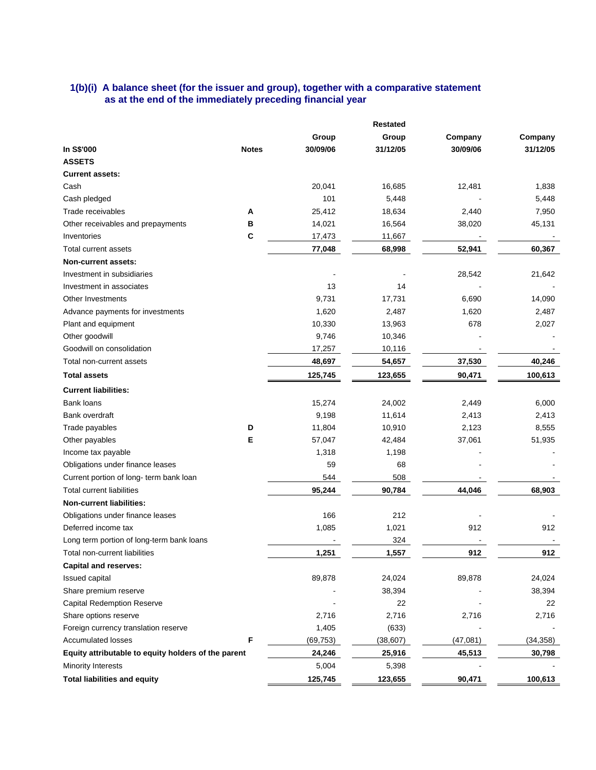## **1(b)(i) A balance sheet (for the issuer and group), together with a comparative statement as at the end of the immediately preceding financial year**

|                                                     | Restated     |           |           |          |           |
|-----------------------------------------------------|--------------|-----------|-----------|----------|-----------|
|                                                     |              | Group     | Group     | Company  | Company   |
| In S\$'000                                          | <b>Notes</b> | 30/09/06  | 31/12/05  | 30/09/06 | 31/12/05  |
| <b>ASSETS</b>                                       |              |           |           |          |           |
| <b>Current assets:</b>                              |              |           |           |          |           |
| Cash                                                |              | 20,041    | 16,685    | 12,481   | 1,838     |
| Cash pledged                                        |              | 101       | 5,448     |          | 5,448     |
| Trade receivables                                   | Α            | 25,412    | 18,634    | 2,440    | 7,950     |
| Other receivables and prepayments                   | В            | 14,021    | 16,564    | 38,020   | 45,131    |
| Inventories                                         | C            | 17,473    | 11,667    |          |           |
| Total current assets                                |              | 77,048    | 68,998    | 52,941   | 60,367    |
| Non-current assets:                                 |              |           |           |          |           |
| Investment in subsidiaries                          |              |           |           | 28,542   | 21,642    |
| Investment in associates                            |              | 13        | 14        |          |           |
| Other Investments                                   |              | 9,731     | 17,731    | 6,690    | 14,090    |
| Advance payments for investments                    |              | 1,620     | 2,487     | 1,620    | 2,487     |
| Plant and equipment                                 |              | 10,330    | 13,963    | 678      | 2,027     |
| Other goodwill                                      |              | 9,746     | 10,346    |          |           |
| Goodwill on consolidation                           |              | 17,257    | 10,116    |          |           |
| Total non-current assets                            |              | 48,697    | 54,657    | 37,530   | 40,246    |
| <b>Total assets</b>                                 |              | 125,745   | 123,655   | 90,471   | 100,613   |
| <b>Current liabilities:</b>                         |              |           |           |          |           |
| Bank loans                                          |              | 15,274    | 24,002    | 2,449    | 6,000     |
| Bank overdraft                                      |              | 9,198     | 11,614    | 2,413    | 2,413     |
| Trade payables                                      | D            | 11,804    | 10,910    | 2,123    | 8,555     |
| Other payables                                      | E            | 57,047    | 42,484    | 37,061   | 51,935    |
| Income tax payable                                  |              | 1,318     | 1,198     |          |           |
| Obligations under finance leases                    |              | 59        | 68        |          |           |
| Current portion of long-term bank loan              |              | 544       | 508       |          |           |
| <b>Total current liabilities</b>                    |              | 95,244    | 90,784    | 44,046   | 68,903    |
| <b>Non-current liabilities:</b>                     |              |           |           |          |           |
| Obligations under finance leases                    |              | 166       | 212       |          |           |
| Deferred income tax                                 |              | 1,085     | 1,021     | 912      | 912       |
| Long term portion of long-term bank loans           |              |           | 324       |          |           |
| Total non-current liabilities                       |              | 1.251     | 1.557     | 912      | 912       |
| <b>Capital and reserves:</b>                        |              |           |           |          |           |
| <b>Issued capital</b>                               |              | 89,878    | 24,024    | 89,878   | 24,024    |
| Share premium reserve                               |              |           | 38,394    |          | 38,394    |
| <b>Capital Redemption Reserve</b>                   |              |           | 22        |          | 22        |
| Share options reserve                               |              | 2,716     | 2,716     | 2,716    | 2,716     |
| Foreign currency translation reserve                |              | 1,405     | (633)     |          |           |
| <b>Accumulated losses</b>                           | F            | (69, 753) | (38, 607) | (47,081) | (34, 358) |
| Equity attributable to equity holders of the parent |              | 24,246    | 25,916    | 45,513   | 30,798    |
| <b>Minority Interests</b>                           |              | 5,004     | 5,398     |          |           |
| <b>Total liabilities and equity</b>                 |              | 125,745   | 123,655   | 90,471   | 100,613   |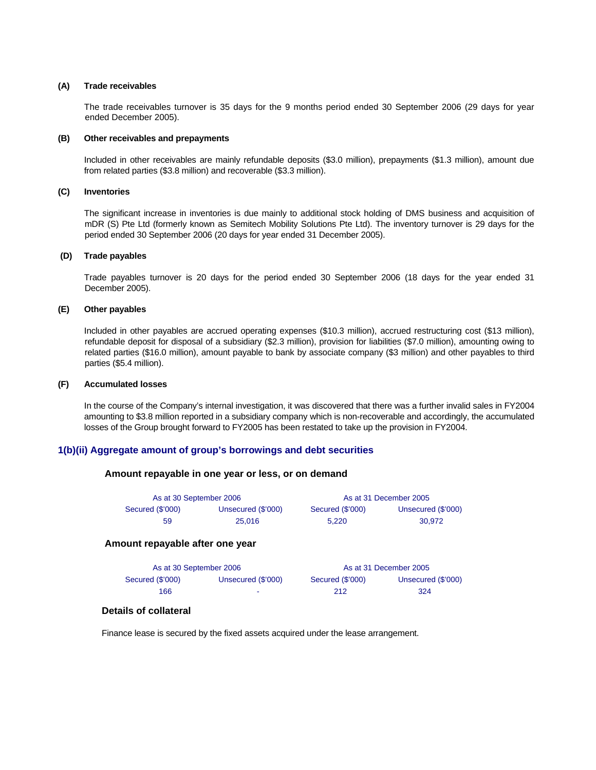#### **(A) Trade receivables**

 The trade receivables turnover is 35 days for the 9 months period ended 30 September 2006 (29 days for year ended December 2005).

#### **(B) Other receivables and prepayments**

Included in other receivables are mainly refundable deposits (\$3.0 million), prepayments (\$1.3 million), amount due from related parties (\$3.8 million) and recoverable (\$3.3 million).

#### **(C) Inventories**

 The significant increase in inventories is due mainly to additional stock holding of DMS business and acquisition of mDR (S) Pte Ltd (formerly known as Semitech Mobility Solutions Pte Ltd). The inventory turnover is 29 days for the period ended 30 September 2006 (20 days for year ended 31 December 2005).

#### **(D) Trade payables**

 Trade payables turnover is 20 days for the period ended 30 September 2006 (18 days for the year ended 31 December 2005).

#### **(E) Other payables**

 Included in other payables are accrued operating expenses (\$10.3 million), accrued restructuring cost (\$13 million), refundable deposit for disposal of a subsidiary (\$2.3 million), provision for liabilities (\$7.0 million), amounting owing to related parties (\$16.0 million), amount payable to bank by associate company (\$3 million) and other payables to third parties (\$5.4 million).

#### **(F) Accumulated losses**

 In the course of the Company's internal investigation, it was discovered that there was a further invalid sales in FY2004 amounting to \$3.8 million reported in a subsidiary company which is non-recoverable and accordingly, the accumulated losses of the Group brought forward to FY2005 has been restated to take up the provision in FY2004.

#### **1(b)(ii) Aggregate amount of group's borrowings and debt securities**

#### **Amount repayable in one year or less, or on demand**

| As at 30 September 2006 |                    |                  | As at 31 December 2005 |
|-------------------------|--------------------|------------------|------------------------|
| Secured (\$'000)        | Unsecured (\$'000) | Secured (\$'000) | Unsecured (\$'000)     |
| 59                      | 25,016             | 5.220            | 30.972                 |

#### **Amount repayable after one year**

| As at 30 September 2006 |                    |                  | As at 31 December 2005 |
|-------------------------|--------------------|------------------|------------------------|
| Secured (\$'000)        | Unsecured (\$'000) | Secured (\$'000) | Unsecured (\$'000)     |
| 166                     |                    | 212              | 324                    |

#### **Details of collateral**

Finance lease is secured by the fixed assets acquired under the lease arrangement.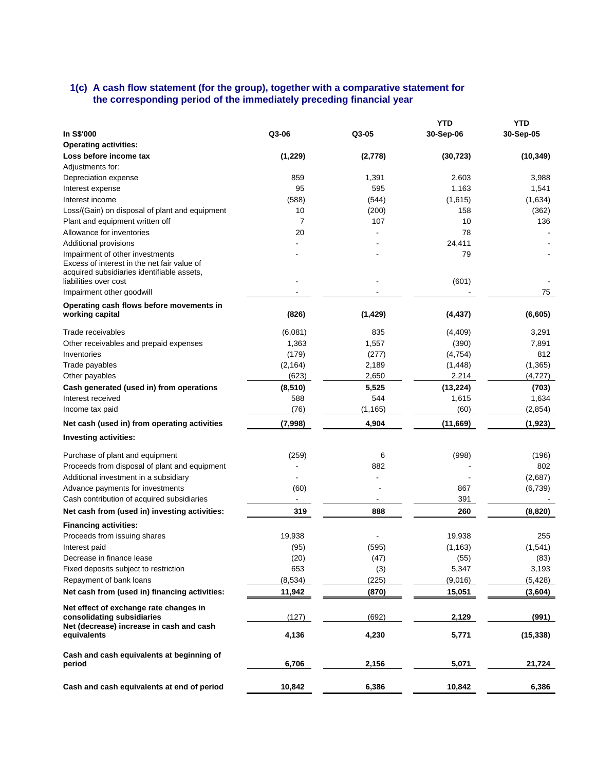#### **1(c) A cash flow statement (for the group), together with a comparative statement for the corresponding period of the immediately preceding financial year**

|                                                |                 |          | YTD       | <b>YTD</b> |
|------------------------------------------------|-----------------|----------|-----------|------------|
| In S\$'000                                     | Q3-06           | Q3-05    | 30-Sep-06 | 30-Sep-05  |
| <b>Operating activities:</b>                   |                 |          |           |            |
| Loss before income tax                         | (1, 229)        | (2,778)  | (30, 723) | (10, 349)  |
| Adjustments for:                               |                 |          |           |            |
| Depreciation expense                           | 859             | 1,391    | 2,603     | 3,988      |
| Interest expense                               | 95              | 595      | 1,163     | 1,541      |
| Interest income                                | (588)           | (544)    | (1,615)   | (1,634)    |
| Loss/(Gain) on disposal of plant and equipment | 10              | (200)    | 158       | (362)      |
| Plant and equipment written off                | 7               | 107      | 10        | 136        |
| Allowance for inventories                      | 20              |          | 78        |            |
| Additional provisions                          |                 |          | 24,411    |            |
| Impairment of other investments                |                 |          | 79        |            |
| Excess of interest in the net fair value of    |                 |          |           |            |
| acquired subsidiaries identifiable assets,     |                 |          |           |            |
| liabilities over cost                          |                 |          | (601)     |            |
| Impairment other goodwill                      |                 |          |           | 75         |
| Operating cash flows before movements in       |                 |          |           |            |
| working capital                                | (826)           | (1, 429) | (4, 437)  | (6,605)    |
| Trade receivables                              | (6,081)         | 835      | (4, 409)  | 3,291      |
| Other receivables and prepaid expenses         | 1,363           | 1,557    | (390)     | 7,891      |
| Inventories                                    | (179)           | (277)    | (4, 754)  | 812        |
| Trade payables                                 | (2, 164)        | 2,189    | (1, 448)  | (1,365)    |
| Other payables                                 | (623)           | 2,650    | 2,214     | (4, 727)   |
| Cash generated (used in) from operations       |                 | 5,525    | (13, 224) | (703)      |
| Interest received                              | (8, 510)<br>588 | 544      | 1,615     | 1,634      |
|                                                | (76)            | (1, 165) | (60)      | (2,854)    |
| Income tax paid                                |                 |          |           |            |
| Net cash (used in) from operating activities   | (7,998)         | 4,904    | (11,669)  | (1,923)    |
| <b>Investing activities:</b>                   |                 |          |           |            |
| Purchase of plant and equipment                | (259)           | 6        | (998)     | (196)      |
| Proceeds from disposal of plant and equipment  |                 | 882      |           | 802        |
| Additional investment in a subsidiary          |                 |          |           | (2,687)    |
| Advance payments for investments               | (60)            |          | 867       | (6,739)    |
| Cash contribution of acquired subsidiaries     |                 |          | 391       |            |
| Net cash from (used in) investing activities:  | 319             | 888      | 260       | (8,820)    |
|                                                |                 |          |           |            |
| <b>Financing activities:</b>                   |                 |          |           |            |
| Proceeds from issuing shares                   | 19,938          |          | 19,938    | 255        |
| Interest paid                                  | (95)            | (595)    | (1, 163)  | (1, 541)   |
| Decrease in finance lease                      | (20)            | (47)     | (55)      | (83)       |
| Fixed deposits subject to restriction          | 653             | (3)      | 5,347     | 3,193      |
| Repayment of bank loans                        | (8, 534)        | (225)    | (9,016)   | (5, 428)   |
| Net cash from (used in) financing activities:  | 11,942          | (870)    | 15,051    | (3,604)    |
| Net effect of exchange rate changes in         |                 |          |           |            |
| consolidating subsidiaries                     | (127)           | (692)    | 2,129     | (991)      |
| Net (decrease) increase in cash and cash       |                 |          |           |            |
| equivalents                                    | 4,136           | 4,230    | 5,771     | (15, 338)  |
| Cash and cash equivalents at beginning of      |                 |          |           |            |
| period                                         | 6,706           | 2,156    | 5,071     | 21,724     |
|                                                |                 |          |           |            |
| Cash and cash equivalents at end of period     | 10,842          | 6,386    | 10,842    | 6,386      |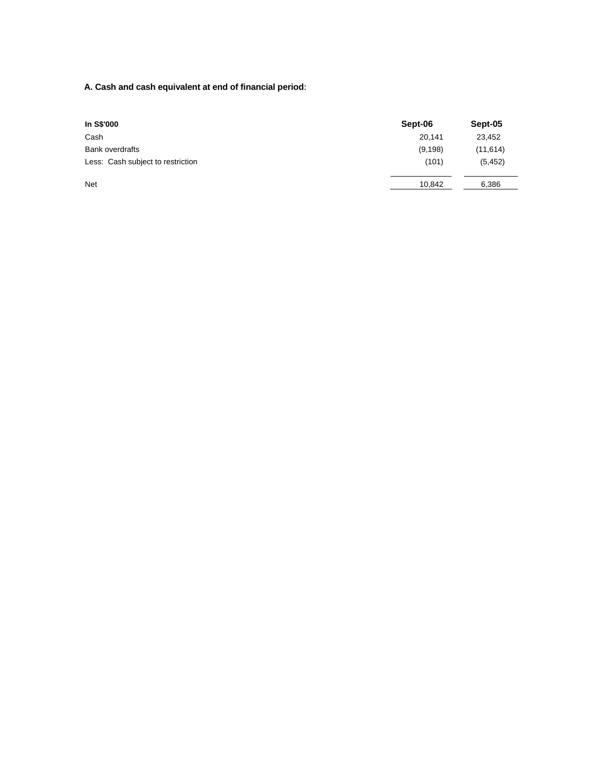**A. Cash and cash equivalent at end of financial period**:

| In S\$'000                        | Sept-06  | Sept-05   |
|-----------------------------------|----------|-----------|
| Cash                              | 20,141   | 23,452    |
| <b>Bank overdrafts</b>            | (9, 198) | (11, 614) |
| Less: Cash subject to restriction | (101)    | (5, 452)  |
| <b>Net</b>                        | 10,842   | 6,386     |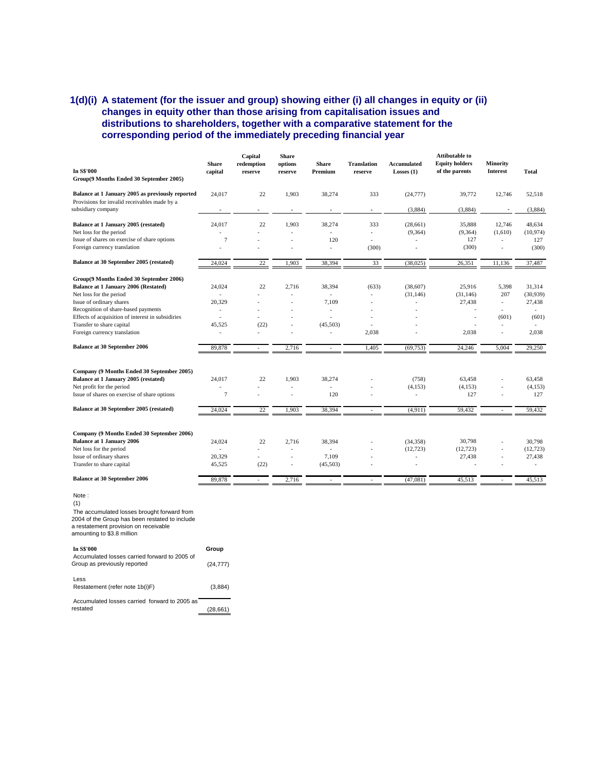## **1(d)(i) A statement (for the issuer and group) showing either (i) all changes in equity or (ii) changes in equity other than those arising from capitalisation issues and distributions to shareholders, together with a comparative statement for the corresponding period of the immediately preceding financial year**

|                                                                           |                          | Capital               | <b>Share</b>       |                         |                               |                                    | <b>Attibutable to</b>                   |                             |           |
|---------------------------------------------------------------------------|--------------------------|-----------------------|--------------------|-------------------------|-------------------------------|------------------------------------|-----------------------------------------|-----------------------------|-----------|
| In S\$'000                                                                | <b>Share</b><br>capital  | redemption<br>reserve | options<br>reserve | <b>Share</b><br>Premium | <b>Translation</b><br>reserve | <b>Accumulated</b><br>Losses $(1)$ | <b>Equity holders</b><br>of the parents | Minority<br><b>Interest</b> | Total     |
| Group(9 Months Ended 30 September 2005)                                   |                          |                       |                    |                         |                               |                                    |                                         |                             |           |
| Balance at 1 January 2005 as previously reported                          | 24,017                   | 22                    | 1,903              | 38,274                  | 333                           | (24, 777)                          | 39,772                                  | 12,746                      | 52,518    |
| Provisions for invalid receivables made by a                              |                          |                       |                    |                         |                               |                                    |                                         |                             |           |
| subsidiary company                                                        |                          | $\overline{a}$        | ٠                  |                         | $\blacksquare$                | (3,884)                            | (3,884)                                 |                             | (3,884)   |
| Balance at 1 January 2005 (restated)                                      | 24,017                   | 22                    | 1,903              | 38,274                  | 333                           | (28, 661)                          | 35,888                                  | 12,746                      | 48,634    |
| Net loss for the period                                                   |                          |                       |                    |                         | $\overline{a}$                | (9, 364)                           | (9,364)                                 | (1,610)                     | (10, 974) |
| Issue of shares on exercise of share options                              | $\overline{7}$           |                       |                    | 120                     | $\overline{a}$                |                                    | 127                                     | ÷,                          | 127       |
| Foreign currency translation                                              | $\overline{a}$           |                       |                    | $\overline{a}$          | (300)                         |                                    | (300)                                   | L,                          | (300)     |
| Balance at 30 September 2005 (restated)                                   | 24,024                   | 22                    | 1,903              | 38,394                  | 33                            | (38,025)                           | 26,351                                  | 11,136                      | 37,487    |
| Group(9 Months Ended 30 September 2006)                                   |                          |                       |                    |                         |                               |                                    |                                         |                             |           |
| Balance at 1 January 2006 (Restated)                                      | 24,024                   | 22                    | 2,716              | 38,394                  | (633)                         | (38,607)                           | 25,916                                  | 5,398                       | 31,314    |
| Net loss for the period                                                   | $\overline{a}$           | $\overline{a}$        | $\overline{a}$     | $\sim$                  | ÷,                            | (31, 146)                          | (31, 146)                               | 207                         | (30,939)  |
| Issue of ordinary shares                                                  | 20,329                   |                       |                    | 7,109                   | $\overline{\phantom{a}}$      |                                    | 27,438                                  | $\sim$                      | 27,438    |
| Recognition of share-based payments                                       | $\overline{a}$           |                       |                    | ÷,                      |                               |                                    |                                         |                             |           |
| Effects of acquisition of interest in subsidiries                         | $\overline{a}$           | ÷                     | $\overline{a}$     | $\overline{a}$          | $\overline{\phantom{a}}$      |                                    | $\overline{a}$                          | (601)                       | (601)     |
| Transfer to share capital                                                 | 45,525                   | (22)                  | ÷,                 | (45,503)                | ٠                             |                                    |                                         |                             |           |
| Foreign currency translation                                              |                          | $\overline{a}$        | $\overline{a}$     | $\overline{a}$          | 2,038                         |                                    | 2,038                                   | $\overline{a}$              | 2,038     |
| <b>Balance at 30 September 2006</b>                                       | 89,878                   | ÷,                    | 2,716              |                         | 1,405                         | (69, 753)                          | 24,246                                  | 5,004                       | 29,250    |
| Company (9 Months Ended 30 September 2005)                                |                          |                       |                    |                         |                               |                                    |                                         |                             |           |
| Balance at 1 January 2005 (restated)                                      |                          | 22                    |                    |                         |                               |                                    |                                         |                             |           |
|                                                                           | 24,017<br>$\overline{a}$ |                       | 1,903              | 38,274<br>÷             |                               | (758)                              | 63,458                                  |                             | 63,458    |
| Net profit for the period<br>Issue of shares on exercise of share options | $\overline{7}$           |                       | ÷,                 | 120                     |                               | (4, 153)                           | (4, 153)<br>127                         | L,                          | (4, 153)  |
|                                                                           |                          |                       |                    |                         |                               |                                    |                                         | $\overline{a}$              | 127       |
| Balance at 30 September 2005 (restated)                                   | 24,024                   | 22                    | 1,903              | 38,394                  | $\overline{\phantom{a}}$      | (4,911)                            | 59,432                                  | ٠                           | 59,432    |
|                                                                           |                          |                       |                    |                         |                               |                                    |                                         |                             |           |
| Company (9 Months Ended 30 September 2006)                                |                          |                       |                    |                         |                               |                                    |                                         |                             |           |
| <b>Balance at 1 January 2006</b>                                          | 24,024                   | 22                    | 2,716              | 38,394                  |                               | (34, 358)                          | 30,798                                  |                             | 30.798    |
| Net loss for the period                                                   | $\overline{a}$           |                       | ÷,                 | $\sim$                  |                               | (12, 723)                          | (12, 723)                               |                             | (12, 723) |
| Issue of ordinary shares                                                  | 20,329                   | $\overline{a}$        | ٠                  | 7,109                   |                               |                                    | 27,438                                  | $\overline{a}$              | 27,438    |
| Transfer to share capital                                                 | 45,525                   | (22)                  | ÷,                 | (45,503)                |                               |                                    |                                         | ÷,                          |           |
| <b>Balance at 30 September 2006</b>                                       |                          |                       |                    |                         |                               |                                    |                                         |                             |           |
|                                                                           | 89,878                   | $\sim$                | 2,716              | $\overline{a}$          | ٠                             | (47,081)                           | 45,513                                  | $\sim$                      | 45,513    |

 (1) The accumulated losses brought forward from 2004 of the Group has been restated to include a restatement provision on receivable amounting to \$3.8 million

| In S\$'000                                                                    | Group     |  |
|-------------------------------------------------------------------------------|-----------|--|
| Accumulated losses carried forward to 2005 of<br>Group as previously reported | (24, 777) |  |
| Less<br>Restatement (refer note 1b(i)F)                                       | (3,884)   |  |
| Accumulated losses carried forward to 2005 as<br>restated                     | (28.661)  |  |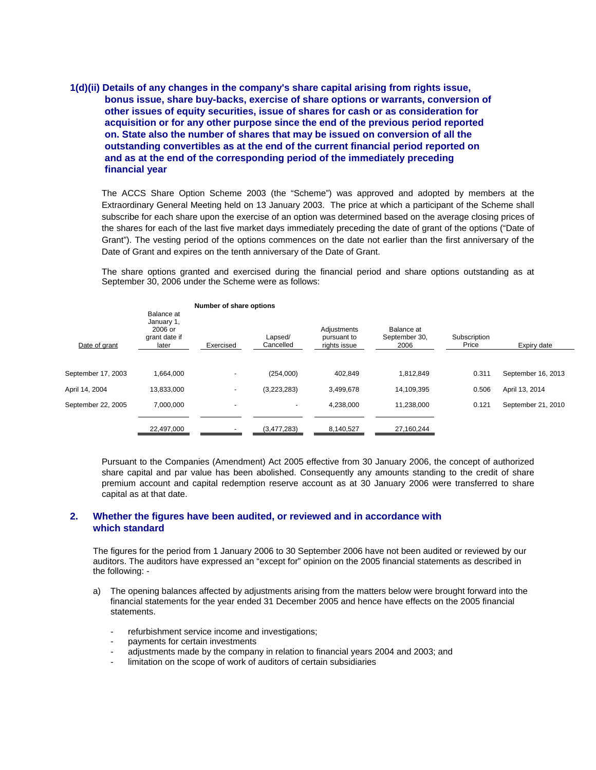## **1(d)(ii) Details of any changes in the company's share capital arising from rights issue, bonus issue, share buy-backs, exercise of share options or warrants, conversion of other issues of equity securities, issue of shares for cash or as consideration for acquisition or for any other purpose since the end of the previous period reported on. State also the number of shares that may be issued on conversion of all the outstanding convertibles as at the end of the current financial period reported on and as at the end of the corresponding period of the immediately preceding financial year**

The ACCS Share Option Scheme 2003 (the "Scheme") was approved and adopted by members at the Extraordinary General Meeting held on 13 January 2003. The price at which a participant of the Scheme shall subscribe for each share upon the exercise of an option was determined based on the average closing prices of the shares for each of the last five market days immediately preceding the date of grant of the options ("Date of Grant"). The vesting period of the options commences on the date not earlier than the first anniversary of the Date of Grant and expires on the tenth anniversary of the Date of Grant.

The share options granted and exercised during the financial period and share options outstanding as at September 30, 2006 under the Scheme were as follows:

|                    |                                                                 | Number of share options  |                      |                                            |                                     |                       |                    |
|--------------------|-----------------------------------------------------------------|--------------------------|----------------------|--------------------------------------------|-------------------------------------|-----------------------|--------------------|
| Date of grant      | Balance at<br>January 1,<br>$2006$ or<br>grant date if<br>later | Exercised                | Lapsed/<br>Cancelled | Adjustments<br>pursuant to<br>rights issue | Balance at<br>September 30,<br>2006 | Subscription<br>Price | Expiry date        |
| September 17, 2003 | 1.664.000                                                       | -                        | (254,000)            | 402.849                                    | 1.812.849                           | 0.311                 | September 16, 2013 |
| April 14, 2004     | 13.833.000                                                      | ۰                        | (3,223,283)          | 3,499,678                                  | 14,109,395                          | 0.506                 | April 13, 2014     |
| September 22, 2005 | 7,000,000                                                       | $\overline{\phantom{a}}$ | $\blacksquare$       | 4,238,000                                  | 11,238,000                          | 0.121                 | September 21, 2010 |
|                    | 22,497,000                                                      |                          | (3,477,283)          | 8,140,527                                  | 27,160,244                          |                       |                    |

Pursuant to the Companies (Amendment) Act 2005 effective from 30 January 2006, the concept of authorized share capital and par value has been abolished. Consequently any amounts standing to the credit of share premium account and capital redemption reserve account as at 30 January 2006 were transferred to share capital as at that date.

## **2. Whether the figures have been audited, or reviewed and in accordance with which standard**

The figures for the period from 1 January 2006 to 30 September 2006 have not been audited or reviewed by our auditors. The auditors have expressed an "except for" opinion on the 2005 financial statements as described in the following: -

- a) The opening balances affected by adjustments arising from the matters below were brought forward into the financial statements for the year ended 31 December 2005 and hence have effects on the 2005 financial statements.
	- refurbishment service income and investigations;
	- payments for certain investments
	- adjustments made by the company in relation to financial years 2004 and 2003; and
	- limitation on the scope of work of auditors of certain subsidiaries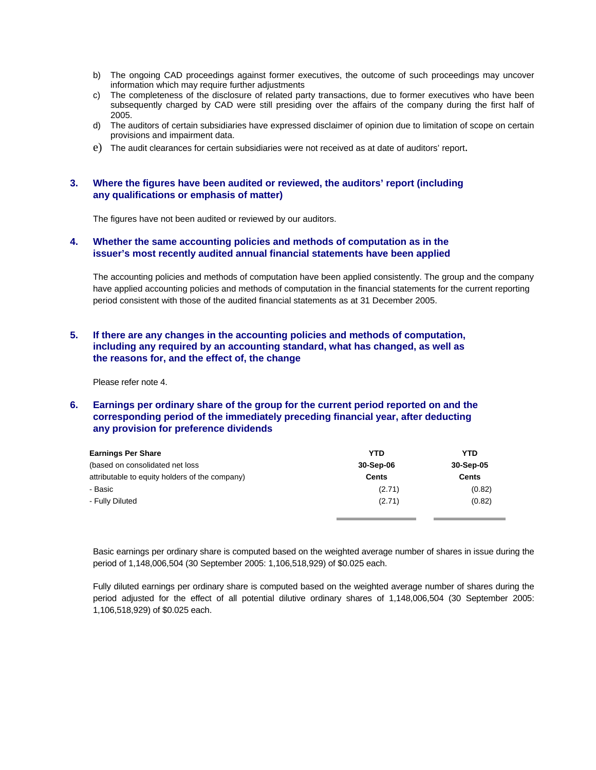- b) The ongoing CAD proceedings against former executives, the outcome of such proceedings may uncover information which may require further adjustments
- c) The completeness of the disclosure of related party transactions, due to former executives who have been subsequently charged by CAD were still presiding over the affairs of the company during the first half of 2005.
- d) The auditors of certain subsidiaries have expressed disclaimer of opinion due to limitation of scope on certain provisions and impairment data.
- e) The audit clearances for certain subsidiaries were not received as at date of auditors' report.

#### **3. Where the figures have been audited or reviewed, the auditors' report (including any qualifications or emphasis of matter)**

The figures have not been audited or reviewed by our auditors.

## **4. Whether the same accounting policies and methods of computation as in the issuer's most recently audited annual financial statements have been applied**

The accounting policies and methods of computation have been applied consistently. The group and the company have applied accounting policies and methods of computation in the financial statements for the current reporting period consistent with those of the audited financial statements as at 31 December 2005.

## **5. If there are any changes in the accounting policies and methods of computation, including any required by an accounting standard, what has changed, as well as the reasons for, and the effect of, the change**

Please refer note 4.

## **6. Earnings per ordinary share of the group for the current period reported on and the corresponding period of the immediately preceding financial year, after deducting any provision for preference dividends**

| <b>Earnings Per Share</b>                      | <b>YTD</b>   | <b>YTD</b> |  |
|------------------------------------------------|--------------|------------|--|
| (based on consolidated net loss)               | 30-Sep-06    | 30-Sep-05  |  |
| attributable to equity holders of the company) | <b>Cents</b> | Cents      |  |
| - Basic                                        | (2.71)       | (0.82)     |  |
| - Fully Diluted                                | (2.71)       | (0.82)     |  |
|                                                |              |            |  |

Basic earnings per ordinary share is computed based on the weighted average number of shares in issue during the period of 1,148,006,504 (30 September 2005: 1,106,518,929) of \$0.025 each.

Fully diluted earnings per ordinary share is computed based on the weighted average number of shares during the period adjusted for the effect of all potential dilutive ordinary shares of 1,148,006,504 (30 September 2005: 1,106,518,929) of \$0.025 each.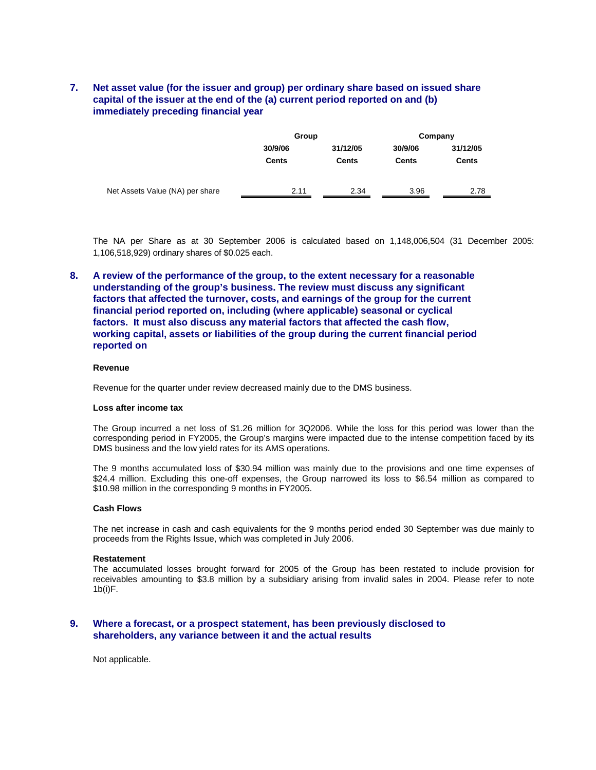## **7. Net asset value (for the issuer and group) per ordinary share based on issued share capital of the issuer at the end of the (a) current period reported on and (b) immediately preceding financial year**

|                                 | Group   |              | Company      |              |  |
|---------------------------------|---------|--------------|--------------|--------------|--|
|                                 | 30/9/06 | 31/12/05     | 30/9/06      | 31/12/05     |  |
|                                 | Cents   | <b>Cents</b> | <b>Cents</b> | <b>Cents</b> |  |
|                                 |         |              |              |              |  |
| Net Assets Value (NA) per share | 2.11    | 2.34         | 3.96         | 2.78         |  |

The NA per Share as at 30 September 2006 is calculated based on 1,148,006,504 (31 December 2005: 1,106,518,929) ordinary shares of \$0.025 each.

**8. A review of the performance of the group, to the extent necessary for a reasonable understanding of the group's business. The review must discuss any significant factors that affected the turnover, costs, and earnings of the group for the current financial period reported on, including (where applicable) seasonal or cyclical factors. It must also discuss any material factors that affected the cash flow, working capital, assets or liabilities of the group during the current financial period reported on** 

#### **Revenue**

Revenue for the quarter under review decreased mainly due to the DMS business.

#### **Loss after income tax**

The Group incurred a net loss of \$1.26 million for 3Q2006. While the loss for this period was lower than the corresponding period in FY2005, the Group's margins were impacted due to the intense competition faced by its DMS business and the low yield rates for its AMS operations.

The 9 months accumulated loss of \$30.94 million was mainly due to the provisions and one time expenses of \$24.4 million. Excluding this one-off expenses, the Group narrowed its loss to \$6.54 million as compared to \$10.98 million in the corresponding 9 months in FY2005.

#### **Cash Flows**

The net increase in cash and cash equivalents for the 9 months period ended 30 September was due mainly to proceeds from the Rights Issue, which was completed in July 2006.

#### **Restatement**

The accumulated losses brought forward for 2005 of the Group has been restated to include provision for receivables amounting to \$3.8 million by a subsidiary arising from invalid sales in 2004. Please refer to note 1b(i)F.

#### **9. Where a forecast, or a prospect statement, has been previously disclosed to shareholders, any variance between it and the actual results**

Not applicable.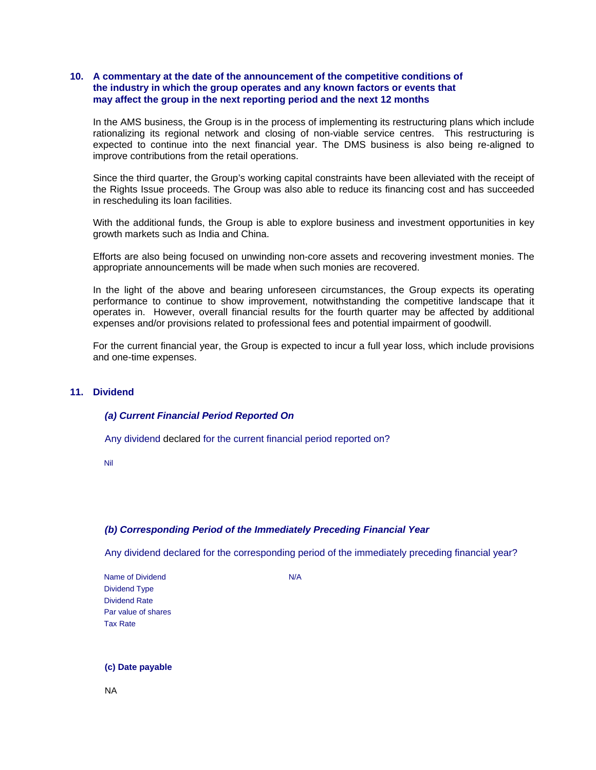## **10. A commentary at the date of the announcement of the competitive conditions of the industry in which the group operates and any known factors or events that may affect the group in the next reporting period and the next 12 months**

In the AMS business, the Group is in the process of implementing its restructuring plans which include rationalizing its regional network and closing of non-viable service centres. This restructuring is expected to continue into the next financial year. The DMS business is also being re-aligned to improve contributions from the retail operations.

Since the third quarter, the Group's working capital constraints have been alleviated with the receipt of the Rights Issue proceeds. The Group was also able to reduce its financing cost and has succeeded in rescheduling its loan facilities.

With the additional funds, the Group is able to explore business and investment opportunities in key growth markets such as India and China.

Efforts are also being focused on unwinding non-core assets and recovering investment monies. The appropriate announcements will be made when such monies are recovered.

In the light of the above and bearing unforeseen circumstances, the Group expects its operating performance to continue to show improvement, notwithstanding the competitive landscape that it operates in. However, overall financial results for the fourth quarter may be affected by additional expenses and/or provisions related to professional fees and potential impairment of goodwill.

For the current financial year, the Group is expected to incur a full year loss, which include provisions and one-time expenses.

## **11. Dividend**

#### *(a) Current Financial Period Reported On*

Any dividend declared for the current financial period reported on?

Nil

## *(b) Corresponding Period of the Immediately Preceding Financial Year*

Any dividend declared for the corresponding period of the immediately preceding financial year?

Name of Dividend N/A Dividend Type Dividend Rate Par value of shares Tax Rate

#### **(c) Date payable**